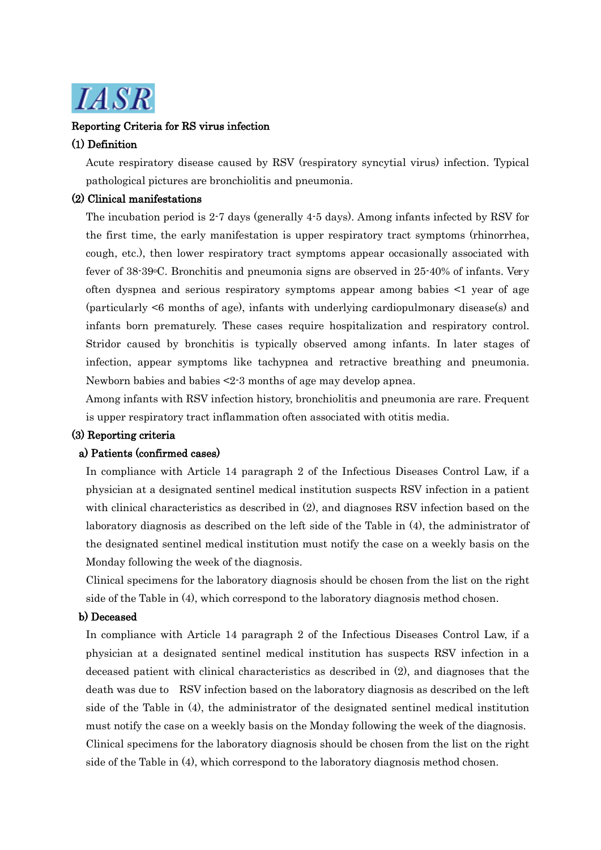

# Reporting Criteria for RS virus infection

#### (1) Definition

Acute respiratory disease caused by RSV (respiratory syncytial virus) infection. Typical pathological pictures are bronchiolitis and pneumonia.

# (2) Clinical manifestations

The incubation period is 2-7 days (generally 4-5 days). Among infants infected by RSV for the first time, the early manifestation is upper respiratory tract symptoms (rhinorrhea, cough, etc.), then lower respiratory tract symptoms appear occasionally associated with fever of 38-39 °C. Bronchitis and pneumonia signs are observed in 25-40% of infants. Very often dyspnea and serious respiratory symptoms appear among babies <1 year of age (particularly <6 months of age), infants with underlying cardiopulmonary disease(s) and infants born prematurely. These cases require hospitalization and respiratory control. Stridor caused by bronchitis is typically observed among infants. In later stages of infection, appear symptoms like tachypnea and retractive breathing and pneumonia. Newborn babies and babies <2-3 months of age may develop apnea.

Among infants with RSV infection history, bronchiolitis and pneumonia are rare. Frequent is upper respiratory tract inflammation often associated with otitis media.

# (3) Reporting criteria

#### a) Patients (confirmed cases)

In compliance with Article 14 paragraph 2 of the Infectious Diseases Control Law, if a physician at a designated sentinel medical institution suspects RSV infection in a patient with clinical characteristics as described in (2), and diagnoses RSV infection based on the laboratory diagnosis as described on the left side of the Table in (4), the administrator of the designated sentinel medical institution must notify the case on a weekly basis on the Monday following the week of the diagnosis.

Clinical specimens for the laboratory diagnosis should be chosen from the list on the right side of the Table in (4), which correspond to the laboratory diagnosis method chosen.

#### b) Deceased

In compliance with Article 14 paragraph 2 of the Infectious Diseases Control Law, if a physician at a designated sentinel medical institution has suspects RSV infection in a deceased patient with clinical characteristics as described in (2), and diagnoses that the death was due to RSV infection based on the laboratory diagnosis as described on the left side of the Table in (4), the administrator of the designated sentinel medical institution must notify the case on a weekly basis on the Monday following the week of the diagnosis. Clinical specimens for the laboratory diagnosis should be chosen from the list on the right side of the Table in (4), which correspond to the laboratory diagnosis method chosen.